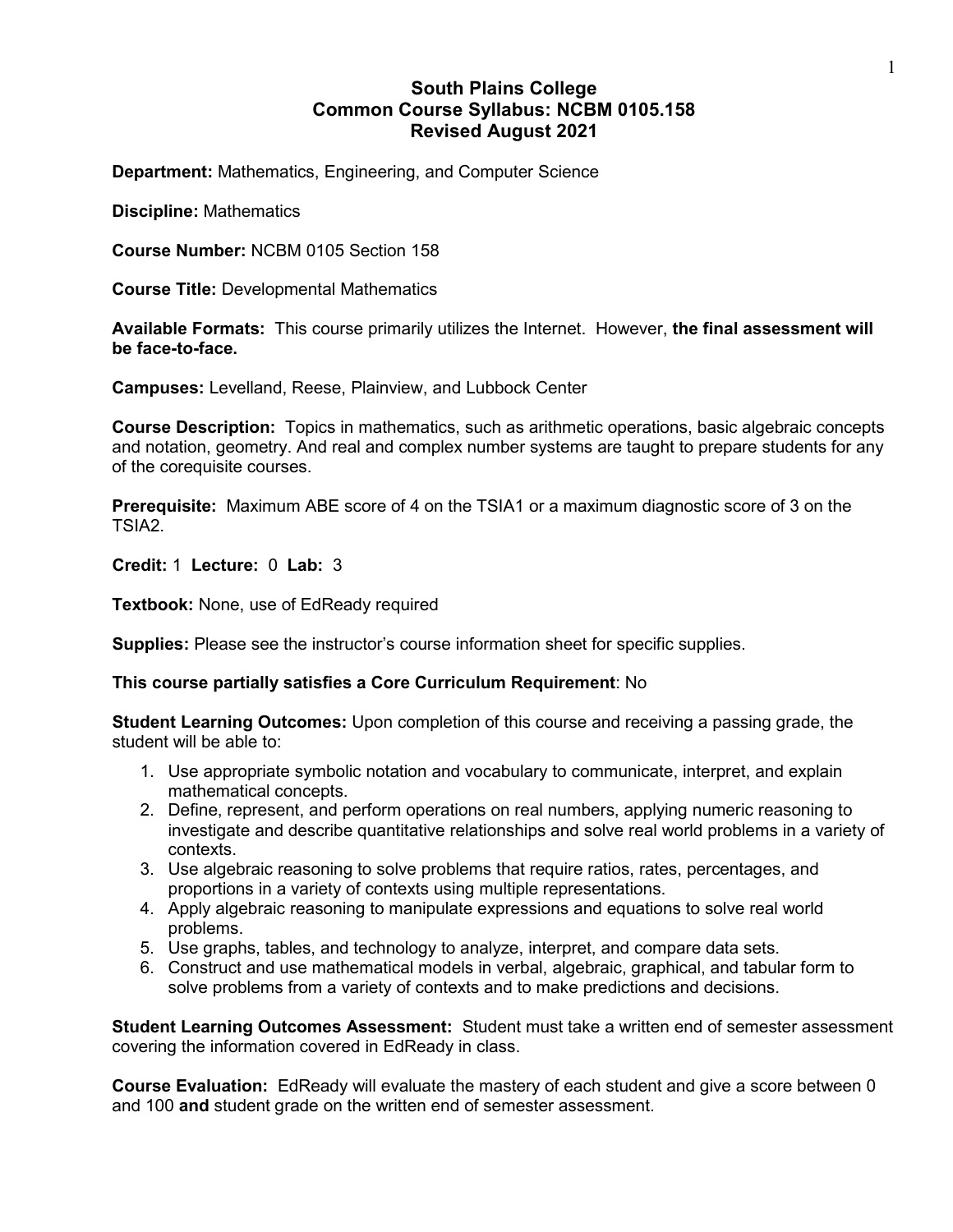# **South Plains College Common Course Syllabus: NCBM 0105.158 Revised August 2021**

**Department:** Mathematics, Engineering, and Computer Science

**Discipline:** Mathematics

**Course Number:** NCBM 0105 Section 158

**Course Title:** Developmental Mathematics

**Available Formats:** This course primarily utilizes the Internet. However, **the final assessment will be face-to-face.**

**Campuses:** Levelland, Reese, Plainview, and Lubbock Center

**Course Description:** Topics in mathematics, such as arithmetic operations, basic algebraic concepts and notation, geometry. And real and complex number systems are taught to prepare students for any of the corequisite courses.

**Prerequisite:** Maximum ABE score of 4 on the TSIA1 or a maximum diagnostic score of 3 on the TSIA2.

**Credit:** 1 **Lecture:** 0 **Lab:** 3

**Textbook:** None, use of EdReady required

**Supplies:** Please see the instructor's course information sheet for specific supplies.

#### **This course partially satisfies a Core Curriculum Requirement**: No

**Student Learning Outcomes:** Upon completion of this course and receiving a passing grade, the student will be able to:

- 1. Use appropriate symbolic notation and vocabulary to communicate, interpret, and explain mathematical concepts.
- 2. Define, represent, and perform operations on real numbers, applying numeric reasoning to investigate and describe quantitative relationships and solve real world problems in a variety of contexts.
- 3. Use algebraic reasoning to solve problems that require ratios, rates, percentages, and proportions in a variety of contexts using multiple representations.
- 4. Apply algebraic reasoning to manipulate expressions and equations to solve real world problems.
- 5. Use graphs, tables, and technology to analyze, interpret, and compare data sets.
- 6. Construct and use mathematical models in verbal, algebraic, graphical, and tabular form to solve problems from a variety of contexts and to make predictions and decisions.

**Student Learning Outcomes Assessment:** Student must take a written end of semester assessment covering the information covered in EdReady in class.

**Course Evaluation:** EdReady will evaluate the mastery of each student and give a score between 0 and 100 **and** student grade on the written end of semester assessment.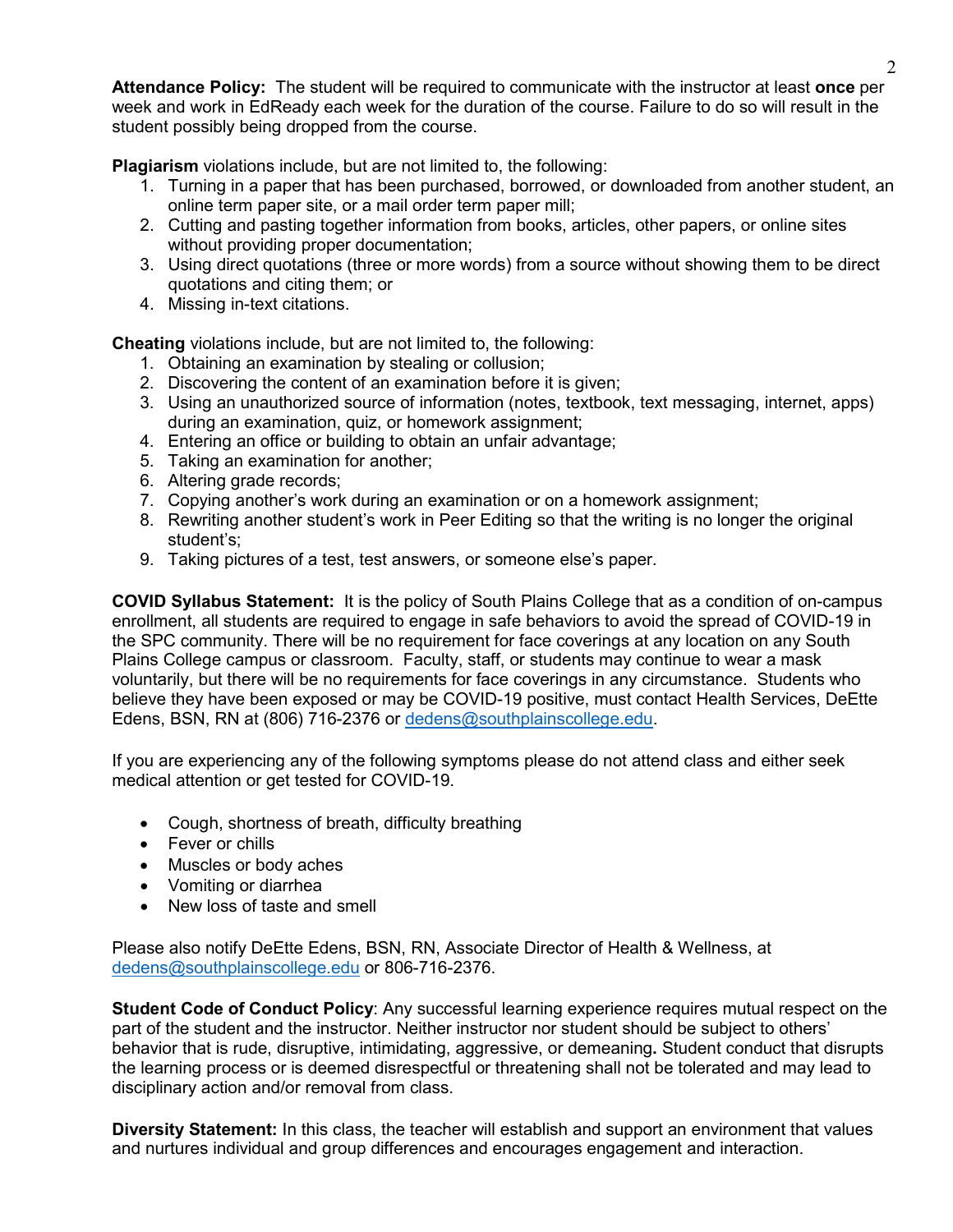**Attendance Policy:** The student will be required to communicate with the instructor at least **once** per week and work in EdReady each week for the duration of the course. Failure to do so will result in the student possibly being dropped from the course.

**Plagiarism** violations include, but are not limited to, the following:

- 1. Turning in a paper that has been purchased, borrowed, or downloaded from another student, an online term paper site, or a mail order term paper mill;
- 2. Cutting and pasting together information from books, articles, other papers, or online sites without providing proper documentation;
- 3. Using direct quotations (three or more words) from a source without showing them to be direct quotations and citing them; or
- 4. Missing in-text citations.

**Cheating** violations include, but are not limited to, the following:

- 1. Obtaining an examination by stealing or collusion;
- 2. Discovering the content of an examination before it is given;
- 3. Using an unauthorized source of information (notes, textbook, text messaging, internet, apps) during an examination, quiz, or homework assignment;
- 4. Entering an office or building to obtain an unfair advantage;
- 5. Taking an examination for another;
- 6. Altering grade records;
- 7. Copying another's work during an examination or on a homework assignment;
- 8. Rewriting another student's work in Peer Editing so that the writing is no longer the original student's;
- 9. Taking pictures of a test, test answers, or someone else's paper.

**COVID Syllabus Statement:** It is the policy of South Plains College that as a condition of on-campus enrollment, all students are required to engage in safe behaviors to avoid the spread of COVID-19 in the SPC community. There will be no requirement for face coverings at any location on any South Plains College campus or classroom. Faculty, staff, or students may continue to wear a mask voluntarily, but there will be no requirements for face coverings in any circumstance. Students who believe they have been exposed or may be COVID-19 positive, must contact Health Services, DeEtte Edens, BSN, RN at (806) 716-2376 or [dedens@southplainscollege.edu.](mailto:dedens@southplainscollege.edu)

If you are experiencing any of the following symptoms please do not attend class and either seek medical attention or get tested for COVID-19.

- Cough, shortness of breath, difficulty breathing
- Fever or chills
- Muscles or body aches
- Vomiting or diarrhea
- New loss of taste and smell

Please also notify DeEtte Edens, BSN, RN, Associate Director of Health & Wellness, at [dedens@southplainscollege.edu](mailto:dedens@southplainscollege.edu) or 806-716-2376.

**Student Code of Conduct Policy**: Any successful learning experience requires mutual respect on the part of the student and the instructor. Neither instructor nor student should be subject to others' behavior that is rude, disruptive, intimidating, aggressive, or demeaning**.** Student conduct that disrupts the learning process or is deemed disrespectful or threatening shall not be tolerated and may lead to disciplinary action and/or removal from class.

**Diversity Statement:** In this class, the teacher will establish and support an environment that values and nurtures individual and group differences and encourages engagement and interaction.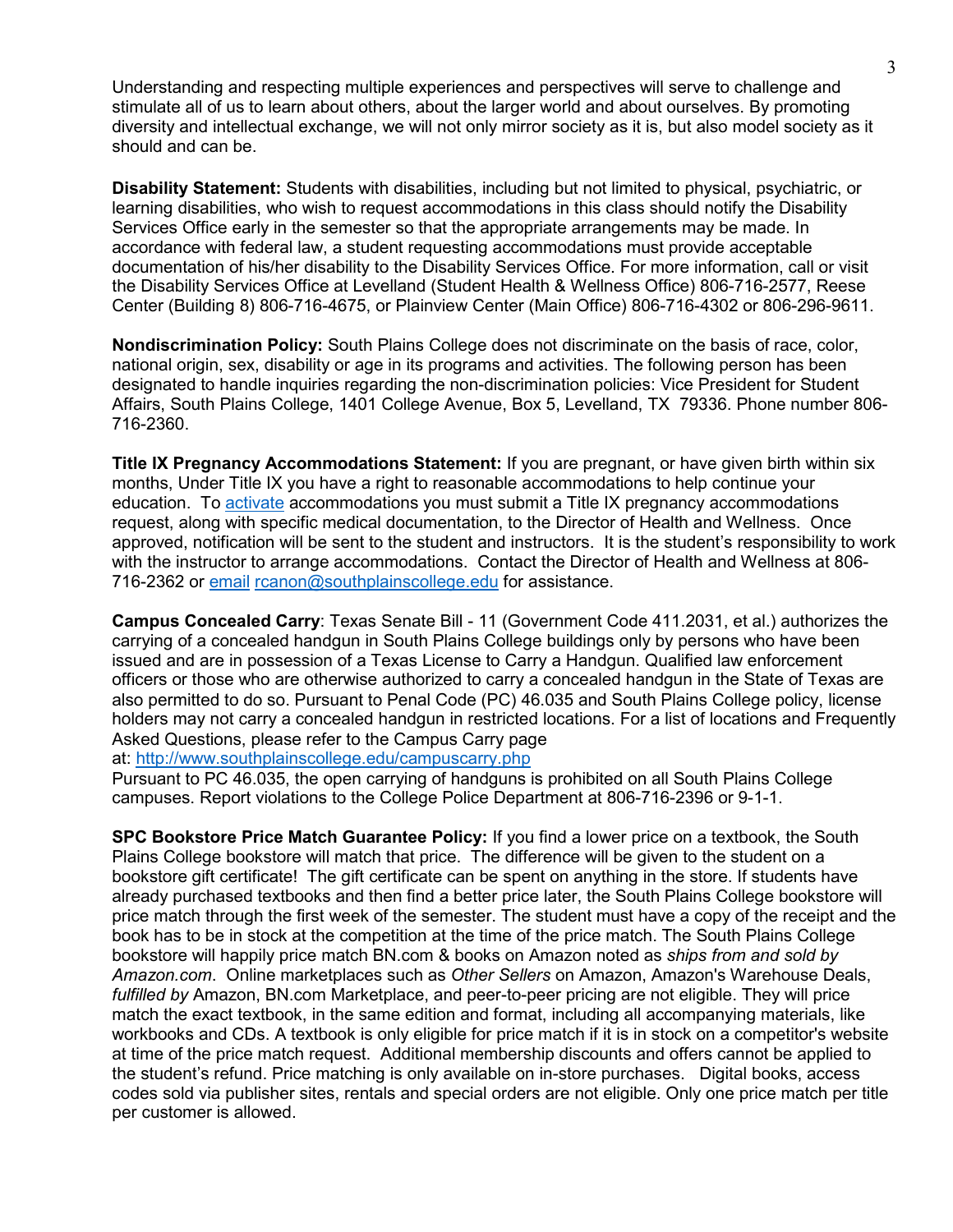Understanding and respecting multiple experiences and perspectives will serve to challenge and stimulate all of us to learn about others, about the larger world and about ourselves. By promoting diversity and intellectual exchange, we will not only mirror society as it is, but also model society as it should and can be.

**Disability Statement:** Students with disabilities, including but not limited to physical, psychiatric, or learning disabilities, who wish to request accommodations in this class should notify the Disability Services Office early in the semester so that the appropriate arrangements may be made. In accordance with federal law, a student requesting accommodations must provide acceptable documentation of his/her disability to the Disability Services Office. For more information, call or visit the Disability Services Office at Levelland (Student Health & Wellness Office) 806-716-2577, Reese Center (Building 8) 806-716-4675, or Plainview Center (Main Office) 806-716-4302 or 806-296-9611.

**Nondiscrimination Policy:** South Plains College does not discriminate on the basis of race, color, national origin, sex, disability or age in its programs and activities. The following person has been designated to handle inquiries regarding the non-discrimination policies: Vice President for Student Affairs, South Plains College, 1401 College Avenue, Box 5, Levelland, TX 79336. Phone number 806- 716-2360.

**Title IX Pregnancy Accommodations Statement:** If you are pregnant, or have given birth within six months, Under Title IX you have a right to reasonable accommodations to help continue your education. To [activate](http://www.southplainscollege.edu/employees/manualshandbooks/facultyhandbook/sec4.php) accommodations you must submit a Title IX pregnancy accommodations request, along with specific medical documentation, to the Director of Health and Wellness. Once approved, notification will be sent to the student and instructors. It is the student's responsibility to work with the instructor to arrange accommodations. Contact the Director of Health and Wellness at 806- 716-2362 or [email](http://www.southplainscollege.edu/employees/manualshandbooks/facultyhandbook/sec4.php) [rcanon@southplainscollege.edu](mailto:rcanon@southplainscollege.edu) for assistance.

**Campus Concealed Carry**: Texas Senate Bill - 11 (Government Code 411.2031, et al.) authorizes the carrying of a concealed handgun in South Plains College buildings only by persons who have been issued and are in possession of a Texas License to Carry a Handgun. Qualified law enforcement officers or those who are otherwise authorized to carry a concealed handgun in the State of Texas are also permitted to do so. Pursuant to Penal Code (PC) 46.035 and South Plains College policy, license holders may not carry a concealed handgun in restricted locations. For a list of locations and Frequently Asked Questions, please refer to the Campus Carry page

at: <http://www.southplainscollege.edu/campuscarry.php>

Pursuant to PC 46.035, the open carrying of handguns is prohibited on all South Plains College campuses. Report violations to the College Police Department at 806-716-2396 or 9-1-1.

**SPC Bookstore Price Match Guarantee Policy:** If you find a lower price on a textbook, the South Plains College bookstore will match that price. The difference will be given to the student on a bookstore gift certificate! The gift certificate can be spent on anything in the store. If students have already purchased textbooks and then find a better price later, the South Plains College bookstore will price match through the first week of the semester. The student must have a copy of the receipt and the book has to be in stock at the competition at the time of the price match. The South Plains College bookstore will happily price match BN.com & books on Amazon noted as *ships from and sold by Amazon.com*. Online marketplaces such as *Other Sellers* on Amazon, Amazon's Warehouse Deals, *fulfilled by* Amazon, BN.com Marketplace, and peer-to-peer pricing are not eligible. They will price match the exact textbook, in the same edition and format, including all accompanying materials, like workbooks and CDs. A textbook is only eligible for price match if it is in stock on a competitor's website at time of the price match request. Additional membership discounts and offers cannot be applied to the student's refund. Price matching is only available on in-store purchases. Digital books, access codes sold via publisher sites, rentals and special orders are not eligible. Only one price match per title per customer is allowed.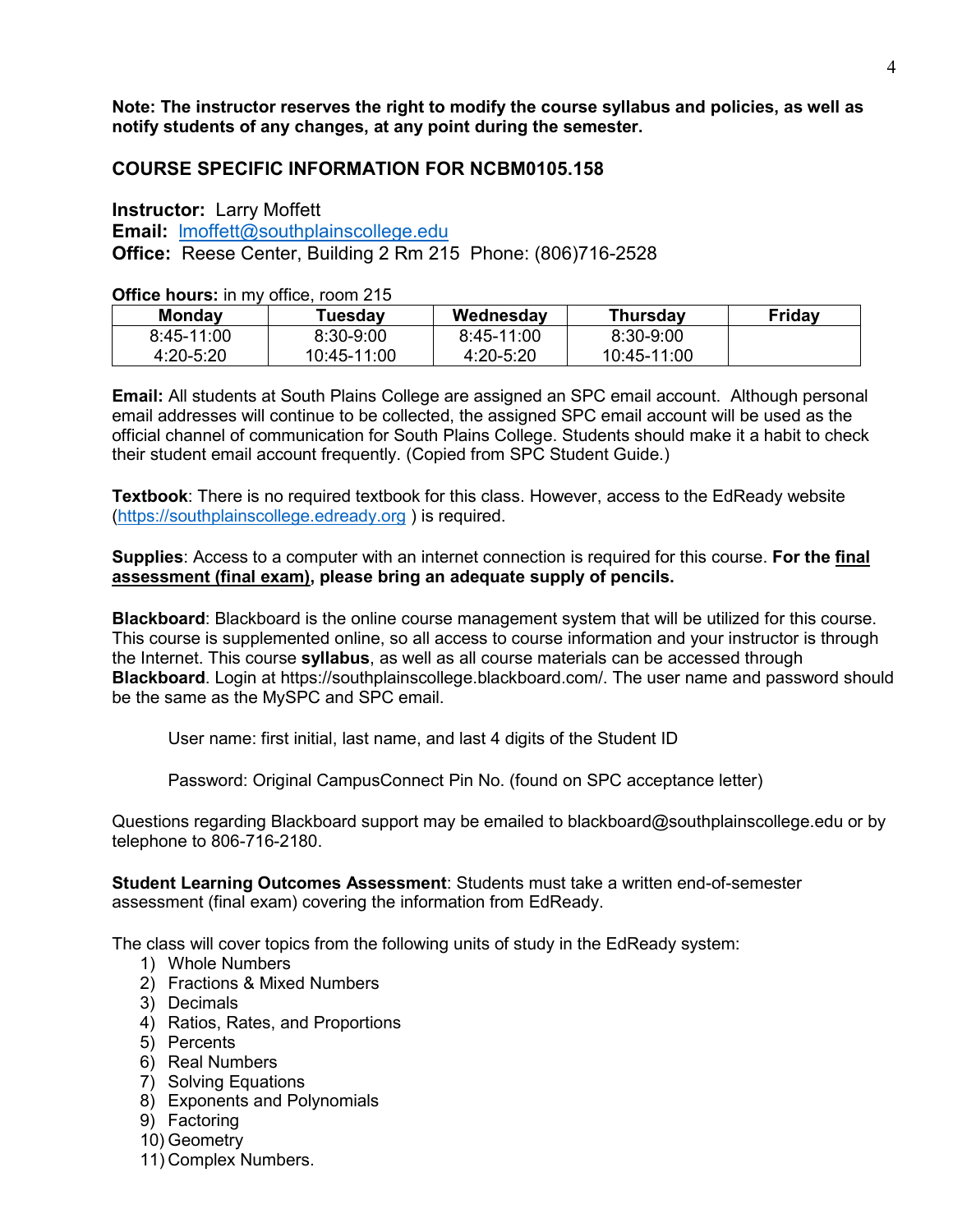**Note: The instructor reserves the right to modify the course syllabus and policies, as well as notify students of any changes, at any point during the semester.**

# **COURSE SPECIFIC INFORMATION FOR NCBM0105.158**

**Instructor:** Larry Moffett **Email:** [lmoffett@southplainscollege.edu](mailto:lmoffett@southplainscollege.edu) **Office:** Reese Center, Building 2 Rm 215 Phone: (806)716-2528

**Office hours:** in my office, room 215

| <b>Monday</b>  | Tuesdav       | Wednesday     | <b>Thursday</b> | Friday |
|----------------|---------------|---------------|-----------------|--------|
| $8:45 - 11:00$ | $8:30 - 9:00$ | 8:45-11:00    | 8:30-9:00       |        |
| 4:20-5:20      | 10:45-11:00   | $4:20 - 5:20$ | 10:45-11:00     |        |

**Email:** All students at South Plains College are assigned an SPC email account. Although personal email addresses will continue to be collected, the assigned SPC email account will be used as the official channel of communication for South Plains College. Students should make it a habit to check their student email account frequently. (Copied from SPC Student Guide.)

**Textbook**: There is no required textbook for this class. However, access to the EdReady website [\(https://southplainscollege.edready.org](https://southplainscollege.edready.org/) ) is required.

**Supplies**: Access to a computer with an internet connection is required for this course. **For the final assessment (final exam), please bring an adequate supply of pencils.**

**Blackboard**: Blackboard is the online course management system that will be utilized for this course. This course is supplemented online, so all access to course information and your instructor is through the Internet. This course **syllabus**, as well as all course materials can be accessed through **Blackboard**. Login at https://southplainscollege.blackboard.com/. The user name and password should be the same as the MySPC and SPC email.

User name: first initial, last name, and last 4 digits of the Student ID

Password: Original CampusConnect Pin No. (found on SPC acceptance letter)

Questions regarding Blackboard support may be emailed to blackboard@southplainscollege.edu or by telephone to 806-716-2180.

**Student Learning Outcomes Assessment**: Students must take a written end-of-semester assessment (final exam) covering the information from EdReady.

The class will cover topics from the following units of study in the EdReady system:

- 1) Whole Numbers
- 2) Fractions & Mixed Numbers
- 3) Decimals
- 4) Ratios, Rates, and Proportions
- 5) Percents
- 6) Real Numbers
- 7) Solving Equations
- 8) Exponents and Polynomials
- 9) Factoring
- 10) Geometry
- 11) Complex Numbers.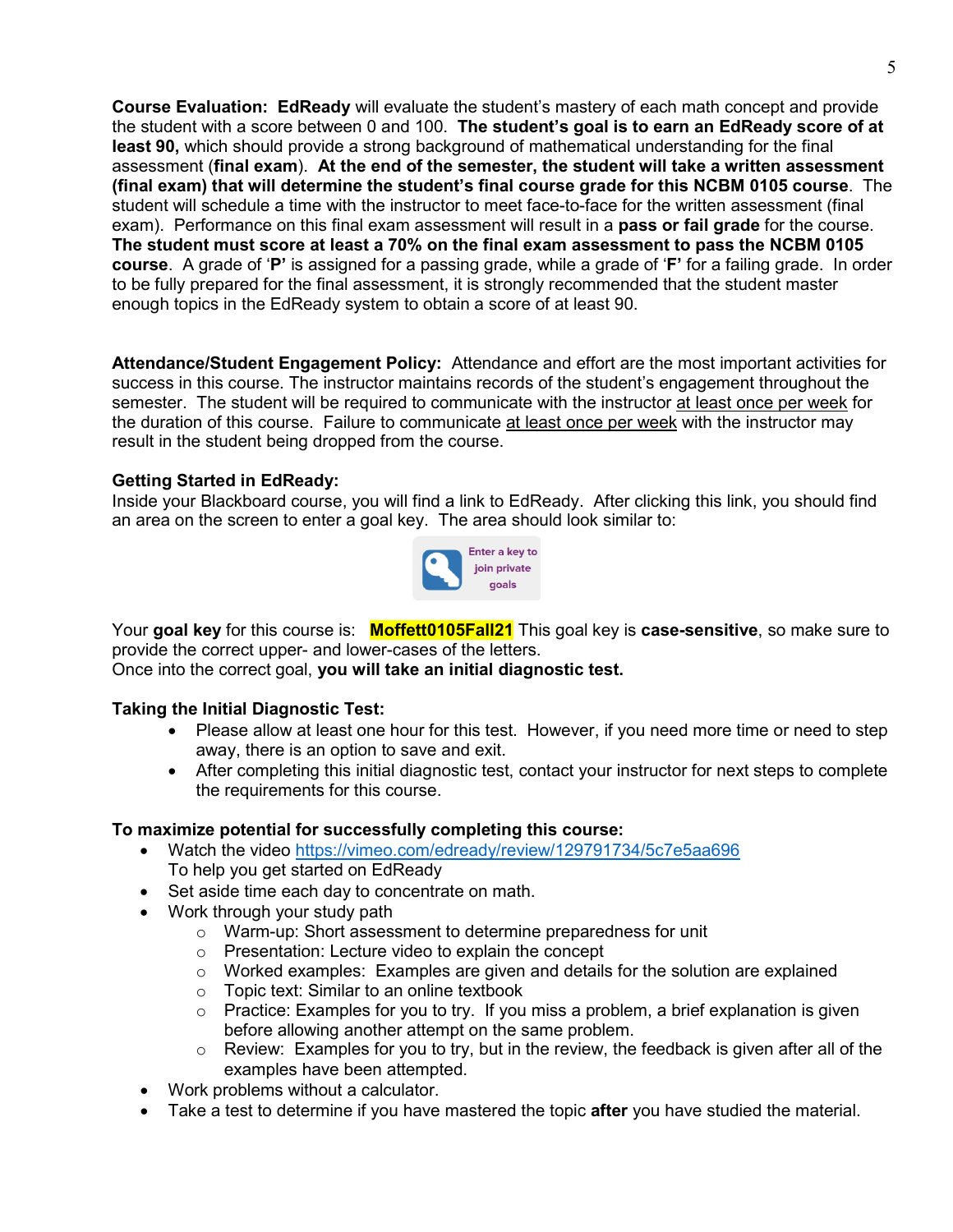**Course Evaluation: EdReady** will evaluate the student's mastery of each math concept and provide the student with a score between 0 and 100. **The student's goal is to earn an EdReady score of at least 90,** which should provide a strong background of mathematical understanding for the final assessment (**final exam**). **At the end of the semester, the student will take a written assessment (final exam) that will determine the student's final course grade for this NCBM 0105 course**. The student will schedule a time with the instructor to meet face-to-face for the written assessment (final exam). Performance on this final exam assessment will result in a **pass or fail grade** for the course. **The student must score at least a 70% on the final exam assessment to pass the NCBM 0105 course**. A grade of '**P'** is assigned for a passing grade, while a grade of '**F'** for a failing grade. In order to be fully prepared for the final assessment, it is strongly recommended that the student master enough topics in the EdReady system to obtain a score of at least 90.

**Attendance/Student Engagement Policy:** Attendance and effort are the most important activities for success in this course. The instructor maintains records of the student's engagement throughout the semester. The student will be required to communicate with the instructor at least once per week for the duration of this course. Failure to communicate at least once per week with the instructor may result in the student being dropped from the course.

### **Getting Started in EdReady:**

Inside your Blackboard course, you will find a link to EdReady. After clicking this link, you should find an area on the screen to enter a goal key. The area should look similar to:



Your **goal key** for this course is: **Moffett0105Fall21** This goal key is **case-sensitive**, so make sure to provide the correct upper- and lower-cases of the letters. Once into the correct goal, **you will take an initial diagnostic test.**

### **Taking the Initial Diagnostic Test:**

- Please allow at least one hour for this test. However, if you need more time or need to step away, there is an option to save and exit.
- After completing this initial diagnostic test, contact your instructor for next steps to complete the requirements for this course.

### **To maximize potential for successfully completing this course:**

- Watch the video<https://vimeo.com/edready/review/129791734/5c7e5aa696> To help you get started on EdReady
- Set aside time each day to concentrate on math.
- Work through your study path
	- o Warm-up: Short assessment to determine preparedness for unit
	- o Presentation: Lecture video to explain the concept
	- $\circ$  Worked examples: Examples are given and details for the solution are explained
	- $\circ$  Topic text: Similar to an online textbook
	- o Practice: Examples for you to try. If you miss a problem, a brief explanation is given before allowing another attempt on the same problem.
	- $\circ$  Review: Examples for you to try, but in the review, the feedback is given after all of the examples have been attempted.
- Work problems without a calculator.
- Take a test to determine if you have mastered the topic **after** you have studied the material.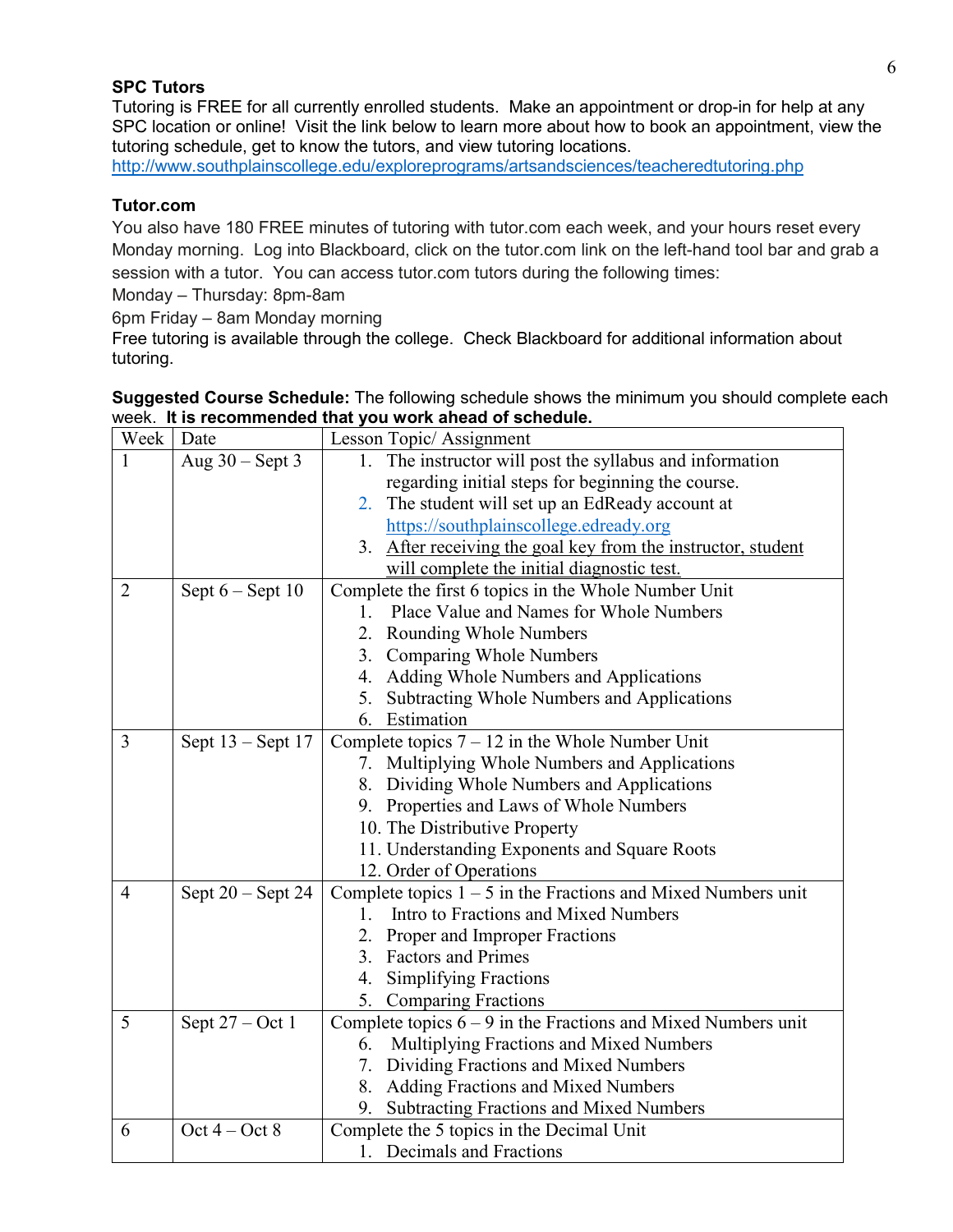## **SPC Tutors**

Tutoring is FREE for all currently enrolled students. Make an appointment or drop-in for help at any SPC location or online! Visit the link below to learn more about how to book an appointment, view the tutoring schedule, get to know the tutors, and view tutoring locations.

<http://www.southplainscollege.edu/exploreprograms/artsandsciences/teacheredtutoring.php>

### **Tutor.com**

You also have 180 FREE minutes of tutoring with tutor.com each week, and your hours reset every Monday morning. Log into Blackboard, click on the tutor.com link on the left-hand tool bar and grab a session with a tutor. You can access tutor.com tutors during the following times:

Monday – Thursday: 8pm-8am

6pm Friday – 8am Monday morning

Free tutoring is available through the college. Check Blackboard for additional information about tutoring.

| Week           | Date                 | Lesson Topic/Assignment                                         |  |
|----------------|----------------------|-----------------------------------------------------------------|--|
|                | Aug $30$ – Sept 3    | The instructor will post the syllabus and information<br>1.     |  |
|                |                      | regarding initial steps for beginning the course.               |  |
|                |                      | The student will set up an EdReady account at<br>2.             |  |
|                |                      | https://southplainscollege.edready.org                          |  |
|                |                      | 3. After receiving the goal key from the instructor, student    |  |
|                |                      | will complete the initial diagnostic test.                      |  |
| $\overline{2}$ | Sept $6 -$ Sept $10$ | Complete the first 6 topics in the Whole Number Unit            |  |
|                |                      | Place Value and Names for Whole Numbers<br>$1_{-}$              |  |
|                |                      | <b>Rounding Whole Numbers</b><br>2.                             |  |
|                |                      | <b>Comparing Whole Numbers</b><br>3.                            |  |
|                |                      | Adding Whole Numbers and Applications<br>4.                     |  |
|                |                      | Subtracting Whole Numbers and Applications<br>5.                |  |
|                |                      | 6. Estimation                                                   |  |
| 3              | Sept $13$ – Sept 17  | Complete topics $7 - 12$ in the Whole Number Unit               |  |
|                |                      | Multiplying Whole Numbers and Applications<br>7.                |  |
|                |                      | 8. Dividing Whole Numbers and Applications                      |  |
|                |                      | 9. Properties and Laws of Whole Numbers                         |  |
|                |                      | 10. The Distributive Property                                   |  |
|                |                      | 11. Understanding Exponents and Square Roots                    |  |
|                |                      | 12. Order of Operations                                         |  |
| 4              | Sept $20$ – Sept 24  | Complete topics $1 - 5$ in the Fractions and Mixed Numbers unit |  |
|                |                      | Intro to Fractions and Mixed Numbers<br>1.                      |  |
|                |                      | 2. Proper and Improper Fractions                                |  |
|                |                      | 3.<br><b>Factors and Primes</b>                                 |  |
|                |                      | <b>Simplifying Fractions</b><br>4.                              |  |
|                |                      | 5. Comparing Fractions                                          |  |
| 5              | Sept $27 - Oct$ 1    | Complete topics $6 - 9$ in the Fractions and Mixed Numbers unit |  |
|                |                      | Multiplying Fractions and Mixed Numbers<br>6.                   |  |
|                |                      | Dividing Fractions and Mixed Numbers<br>7.                      |  |
|                |                      | Adding Fractions and Mixed Numbers<br>8.                        |  |
|                |                      | Subtracting Fractions and Mixed Numbers<br>9.                   |  |
| 6              | Oct $4 - Oct 8$      | Complete the 5 topics in the Decimal Unit                       |  |
|                |                      | 1. Decimals and Fractions                                       |  |

**Suggested Course Schedule:** The following schedule shows the minimum you should complete each week. **It is recommended that you work ahead of schedule.**